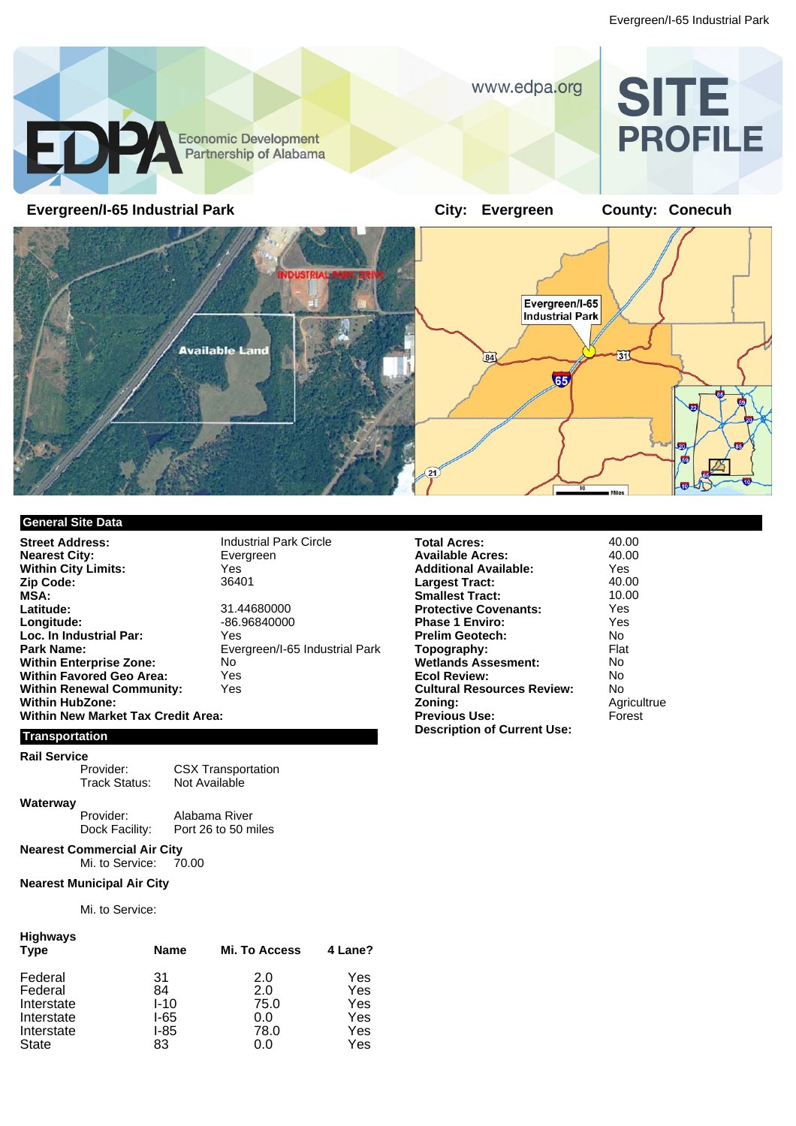

## **General Site Data**

**Street Address:** Industrial Park Circle<br> **Nearest City:** Evergreen **Nearest City: Within City Limits:** Yes Yes 7<br>**Zip Code:** 36401 Zip Code: **MSA: Latitude:** 31.44680000 Loc. In Industrial Par:<br>Park Name: **Within Enterprise Zone:** No<br> **Within Favored Geo Area:** Yes **Within Favored Geo Area:** Yes<br> **Within Renewal Community:** Yes **Within Renewal Community: Within HubZone: Within New Market Tax Credit Area:**

**Longitude:** -86.96840000 **Park Name:** Evergreen/I-65 Industrial Park

#### **Transportation**

# **Rail Service**

Provider: CSX Transportation<br>Track Status: Not Available Not Available

**Waterway**

Provider: Alabama River<br>Dock Facility: Port 26 to 50 m Port 26 to 50 miles

**Nearest Commercial Air City**<br>Mi. to Service: 70.00 Mi. to Service:

#### **Nearest Municipal Air City**

Mi. to Service:

| Highways<br><b>Type</b> | Name     | <b>Mi. To Access</b> | 4 Lane? |
|-------------------------|----------|----------------------|---------|
| Federal                 | 31       | 2.0                  | Yes     |
| Federal                 | 84       | 2.0                  | Yes     |
| Interstate              | $I - 10$ | 75.0                 | Yes     |
| Interstate              | I-65     | 0.0                  | Yes     |
| Interstate              | I-85     | 78.0                 | Yes     |
| <b>State</b>            | 83       | 0.0                  | Yes     |

| <b>Total Acres:</b>                | 40.00       |
|------------------------------------|-------------|
| Available Acres:                   | 40.00       |
| Additional Available:              | Yes         |
| Largest Tract:                     | 40.00       |
| <b>Smallest Tract:</b>             | 10.00       |
| <b>Protective Covenants:</b>       | Yes         |
| <b>Phase 1 Enviro:</b>             | Yes         |
| Prelim Geotech:                    | N٥          |
| Topography:                        | Flat        |
| <b>Wetlands Assesment:</b>         | N٥          |
| <b>Ecol Review:</b>                | No          |
| <b>Cultural Resources Review:</b>  | N٥          |
| Zoning:                            | Agricultrue |
| <b>Previous Use:</b>               | Forest      |
| <b>Description of Current Use:</b> |             |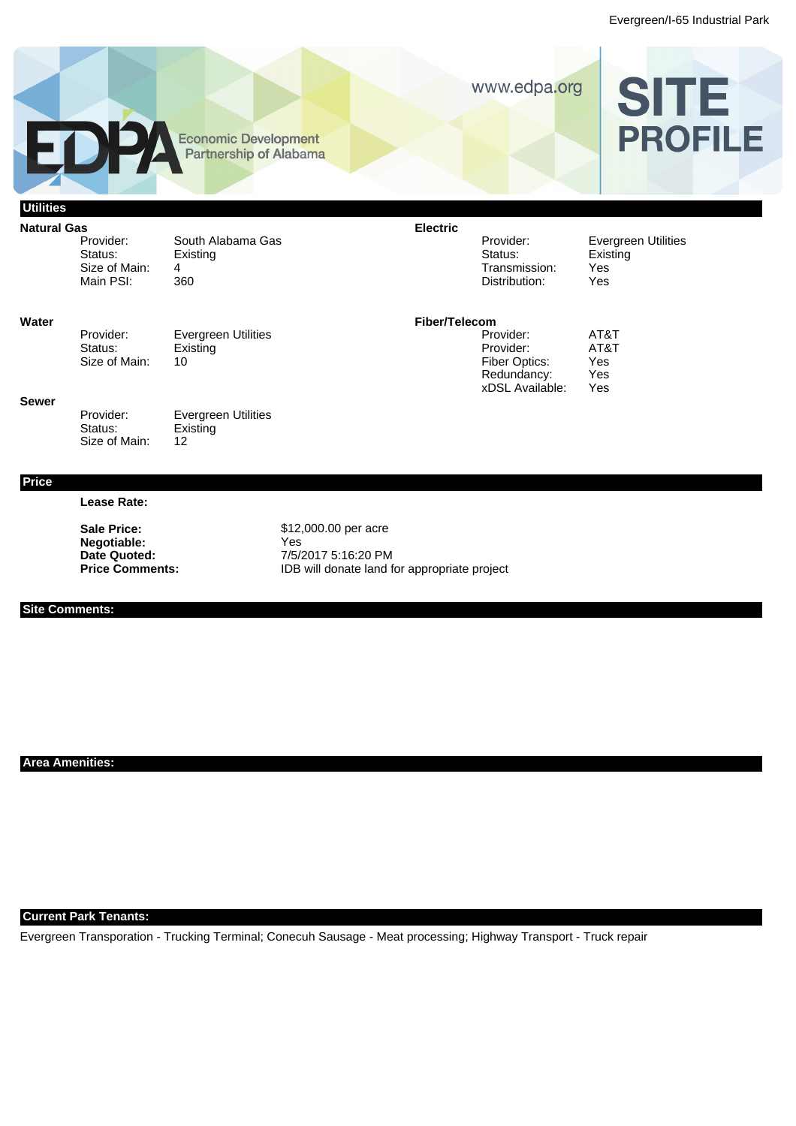

**Negotiable:** Yes<br>
Date Quoted: 7/5/2 **Date Quoted:** 7/5/2017 5:16:20 PM Price Comments: **IDB** will donate land for appropriate project

## **Site Comments:**

**Area Amenities:**

### **Current Park Tenants:**

Evergreen Transporation - Trucking Terminal; Conecuh Sausage - Meat processing; Highway Transport - Truck repair